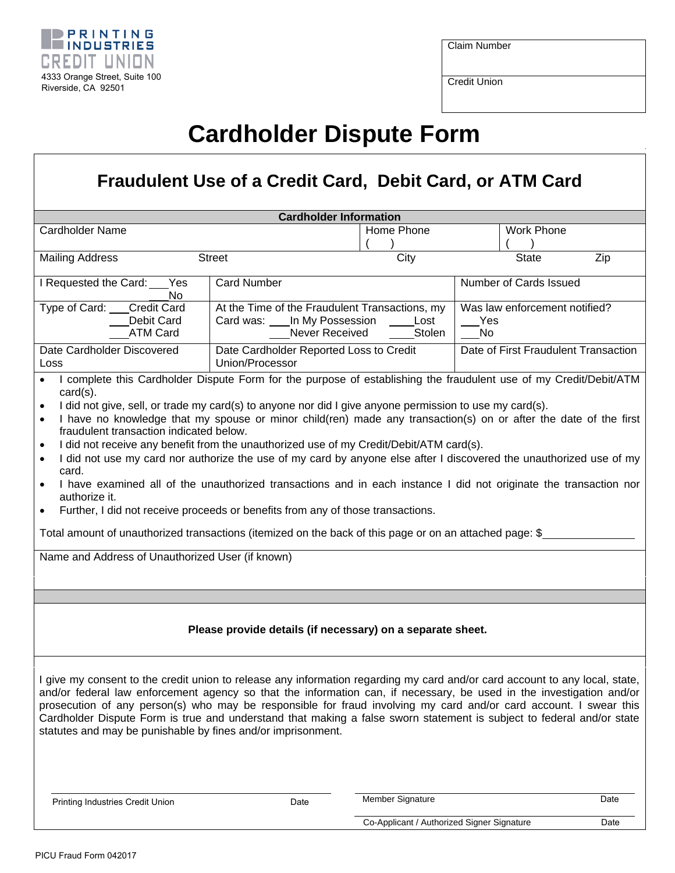

Claim Number

Credit Union

## **Cardholder Dispute Form**

## **Fraudulent Use of a Credit Card, Debit Card, or ATM Card**

| <b>Cardholder Information</b>                                                                                                                                                                                                                                                                                                                                                                                                                                                                                                                                                                                                                                                                                                                                                                                                                                                                                                                                                          |                                                                                                                                                                |                                            |                                      |                        |      |  |
|----------------------------------------------------------------------------------------------------------------------------------------------------------------------------------------------------------------------------------------------------------------------------------------------------------------------------------------------------------------------------------------------------------------------------------------------------------------------------------------------------------------------------------------------------------------------------------------------------------------------------------------------------------------------------------------------------------------------------------------------------------------------------------------------------------------------------------------------------------------------------------------------------------------------------------------------------------------------------------------|----------------------------------------------------------------------------------------------------------------------------------------------------------------|--------------------------------------------|--------------------------------------|------------------------|------|--|
| <b>Cardholder Name</b>                                                                                                                                                                                                                                                                                                                                                                                                                                                                                                                                                                                                                                                                                                                                                                                                                                                                                                                                                                 |                                                                                                                                                                | Home Phone                                 |                                      | <b>Work Phone</b>      |      |  |
| <b>Mailing Address</b><br><b>Street</b>                                                                                                                                                                                                                                                                                                                                                                                                                                                                                                                                                                                                                                                                                                                                                                                                                                                                                                                                                |                                                                                                                                                                | City                                       |                                      | <b>State</b>           | Zip  |  |
| I Requested the Card: Yes<br>No                                                                                                                                                                                                                                                                                                                                                                                                                                                                                                                                                                                                                                                                                                                                                                                                                                                                                                                                                        | <b>Card Number</b>                                                                                                                                             |                                            |                                      | Number of Cards Issued |      |  |
| Type of Card:<br><b>Credit Card</b><br>Debit Card<br><b>ATM Card</b>                                                                                                                                                                                                                                                                                                                                                                                                                                                                                                                                                                                                                                                                                                                                                                                                                                                                                                                   | At the Time of the Fraudulent Transactions, my<br>Was law enforcement notified?<br>Card was: In My Possession<br>Lost<br>Yes<br>Never Received<br>Stolen<br>No |                                            |                                      |                        |      |  |
| Date Cardholder Discovered<br>Loss                                                                                                                                                                                                                                                                                                                                                                                                                                                                                                                                                                                                                                                                                                                                                                                                                                                                                                                                                     | Date Cardholder Reported Loss to Credit<br>Union/Processor                                                                                                     |                                            | Date of First Fraudulent Transaction |                        |      |  |
| $card(s)$ .<br>I did not give, sell, or trade my card(s) to anyone nor did I give anyone permission to use my card(s).<br>$\bullet$<br>I have no knowledge that my spouse or minor child(ren) made any transaction(s) on or after the date of the first<br>$\bullet$<br>fraudulent transaction indicated below.<br>I did not receive any benefit from the unauthorized use of my Credit/Debit/ATM card(s).<br>$\bullet$<br>I did not use my card nor authorize the use of my card by anyone else after I discovered the unauthorized use of my<br>$\bullet$<br>card.<br>I have examined all of the unauthorized transactions and in each instance I did not originate the transaction nor<br>$\bullet$<br>authorize it.<br>Further, I did not receive proceeds or benefits from any of those transactions.<br>$\bullet$<br>Total amount of unauthorized transactions (itemized on the back of this page or on an attached page: \$<br>Name and Address of Unauthorized User (if known) |                                                                                                                                                                |                                            |                                      |                        |      |  |
| Please provide details (if necessary) on a separate sheet.                                                                                                                                                                                                                                                                                                                                                                                                                                                                                                                                                                                                                                                                                                                                                                                                                                                                                                                             |                                                                                                                                                                |                                            |                                      |                        |      |  |
| I give my consent to the credit union to release any information regarding my card and/or card account to any local, state,<br>and/or federal law enforcement agency so that the information can, if necessary, be used in the investigation and/or<br>prosecution of any person(s) who may be responsible for fraud involving my card and/or card account. I swear this<br>Cardholder Dispute Form is true and understand that making a false sworn statement is subject to federal and/or state<br>statutes and may be punishable by fines and/or imprisonment.                                                                                                                                                                                                                                                                                                                                                                                                                      |                                                                                                                                                                |                                            |                                      |                        |      |  |
| Printing Industries Credit Union                                                                                                                                                                                                                                                                                                                                                                                                                                                                                                                                                                                                                                                                                                                                                                                                                                                                                                                                                       | Date                                                                                                                                                           | Member Signature                           |                                      |                        | Date |  |
|                                                                                                                                                                                                                                                                                                                                                                                                                                                                                                                                                                                                                                                                                                                                                                                                                                                                                                                                                                                        |                                                                                                                                                                | Co-Applicant / Authorized Signer Signature |                                      |                        | Date |  |